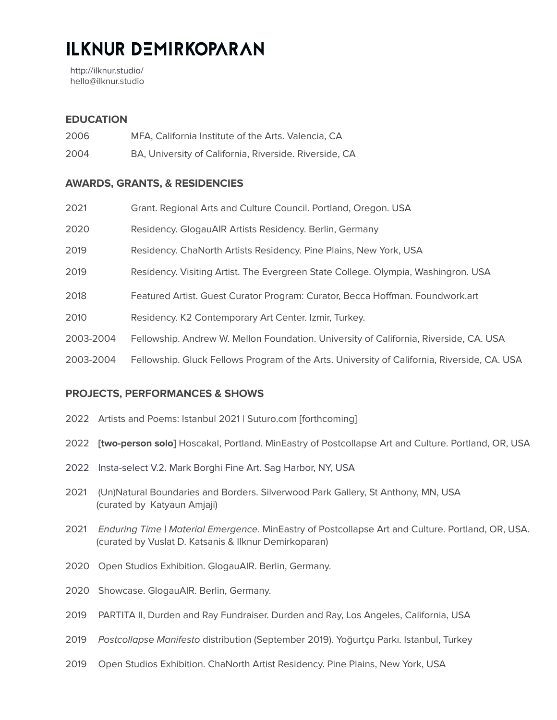# **ILKNUR DEMIRKOPARAN**

<http://ilknur.studio/> hello@ilknur.studio

## **EDUCATION**

- 2006 MFA, California Institute of the Arts. Valencia, CA
- 2004 BA, University of California, Riverside. Riverside, CA

### **AWARDS, GRANTS, & RESIDENCIES**

| 2021      | Grant. Regional Arts and Culture Council. Portland, Oregon. USA                             |
|-----------|---------------------------------------------------------------------------------------------|
| 2020      | Residency. GlogauAIR Artists Residency. Berlin, Germany                                     |
| 2019      | Residency. ChaNorth Artists Residency. Pine Plains, New York, USA                           |
| 2019      | Residency. Visiting Artist. The Evergreen State College. Olympia, Washingron. USA           |
| 2018      | Featured Artist. Guest Curator Program: Curator, Becca Hoffman. Foundwork.art               |
| 2010      | Residency. K2 Contemporary Art Center. Izmir, Turkey.                                       |
| 2003-2004 | Fellowship. Andrew W. Mellon Foundation. University of California, Riverside, CA. USA       |
| 2003-2004 | Fellowship. Gluck Fellows Program of the Arts. University of California, Riverside, CA. USA |

#### **PROJECTS, PERFORMANCES & SHOWS**

- 2022 Artists and Poems: Istanbul 2021 | Suturo.com [forthcoming]
- 2022 **[two-person solo]** Hoscakal, Portland. MinEastry of Postcollapse Art and Culture. Portland, OR, USA
- 2022 [Insta-select](https://www.markborghi.com/exhibitions/38-insta-select-v.-2/) V.2. Mark Borghi Fine Art. Sag Harbor, NY, USA
- 2021 (Un)Natural Boundaries and Borders. Silverwood Park Gallery, St Anthony, MN, USA (curated by Katyaun Amjaji)
- 2021 Enduring Time | Material Emergence. MinEastry of Postcollapse Art and Culture. Portland, OR, USA. (curated by Vuslat D. Katsanis & Ilknur Demirkoparan)
- 2020 Open Studios Exhibition. GlogauAIR. Berlin, Germany.
- 2020 Showcase. GlogauAIR. Berlin, Germany.
- 2019 PARTITA II, Durden and Ray Fundraiser. Durden and Ray, Los Angeles, California, USA
- 2019 Postcollapse Manifesto distribution (September 2019). Yoğurtçu Parkı. Istanbul, Turkey
- 2019 Open Studios Exhibition. ChaNorth Artist Residency. Pine Plains, New York, USA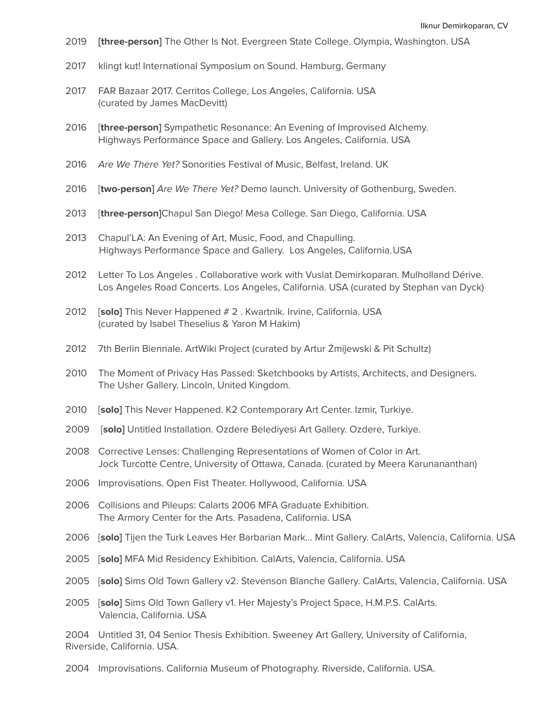- **[three-person]** The Other Is Not. Evergreen State College. Olympia, Washington. USA
- klingt kut! International Symposium on Sound. Hamburg, Germany
- FAR Bazaar 2017. Cerritos College, Los Angeles, California. USA (curated by James MacDevitt)
- [**three-person]** Sympathetic Resonance: An Evening of Improvised Alchemy. Highways Performance Space and Gallery. Los Angeles, California. USA
- Are We There Yet? Sonorities Festival of Music, Belfast, Ireland. UK
- [**two-person]** Are We There Yet? Demo launch. University of Gothenburg, Sweden.
- [**three-person]**Chapul San Diego! Mesa College. San Diego, California. USA
- Chapul'LA: An Evening of Art, Music, Food, and Chapulling. Highways Performance Space and Gallery. Los Angeles, California.USA
- Letter To Los Angeles . Collaborative work with Vuslat Demirkoparan. Mulholland Dérive. Los Angeles Road Concerts. Los Angeles, California. USA (curated by Stephan van Dyck)
- [**solo]** This Never Happened # 2 . Kwartnik. Irvine, California. USA (curated by Isabel Theselius & Yaron M Hakim)
- 7th Berlin Biennale. ArtWiki Project (curated by Artur Żmijewski & Pit Schultz)
- The Moment of Privacy Has Passed: Sketchbooks by Artists, Architects, and Designers. The Usher Gallery. Lincoln, United Kingdom.
- [**solo]** This Never Happened. K2 Contemporary Art Center. Izmir, Turkiye.
- [**solo]** Untitled Installation. Ozdere Belediyesi Art Gallery. Ozdere, Turkiye.
- Corrective Lenses: Challenging Representations of Women of Color in Art. Jock Turcotte Centre, University of Ottawa, Canada. (curated by Meera Karunananthan)
- Improvisations. Open Fist Theater. Hollywood, California. USA
- Collisions and Pileups: Calarts 2006 MFA Graduate Exhibition. The Armory Center for the Arts. Pasadena, California. USA
- [**solo]** Tijen the Turk Leaves Her Barbarian Mark… Mint Gallery. CalArts, Valencia, California. USA
- [**solo]** MFA Mid Residency Exhibition. CalArts, Valencia, California. USA
- [**solo]** Sims Old Town Gallery v2. Stevenson Blanche Gallery. CalArts, Valencia, California. USA
- [**solo]** Sims Old Town Gallery v1. Her Majesty's Project Space, H.M.P.S. CalArts. Valencia, California. USA

 Untitled 31, 04 Senior Thesis Exhibition. Sweeney Art Gallery, University of California, Riverside, California. USA.

Improvisations. California Museum of Photography. Riverside, California. USA.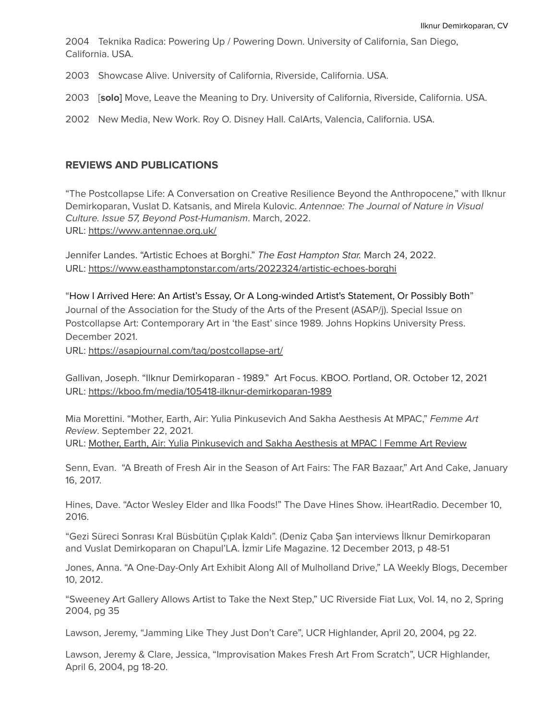2004 Teknika Radica: Powering Up / Powering Down. University of California, San Diego, California. USA.

2003 Showcase Alive. University of California, Riverside, California. USA.

2003 [**solo]** Move, Leave the Meaning to Dry. University of California, Riverside, California. USA.

2002 New Media, New Work. Roy O. Disney Hall. CalArts, Valencia, California. USA.

#### **REVIEWS AND PUBLICATIONS**

"The Postcollapse Life: A Conversation on Creative Resilience Beyond the Anthropocene," with Ilknur Demirkoparan, Vuslat D. Katsanis, and Mirela Kulovic. Antennae: The Journal of Nature in Visual Culture. Issue 57, Beyond Post-Humanism. March, 2022. URL: <https://www.antennae.org.uk/>

Jennifer Landes. "Artistic Echoes at Borghi." The East Hampton Star. March 24, 2022. URL: <https://www.easthamptonstar.com/arts/2022324/artistic-echoes-borghi>

"How I Arrived Here: An Artist's Essay, Or A Long-winded Artist's Statement, Or Possibly Both" Journal of the Association for the Study of the Arts of the Present (ASAP/j). Special Issue on Postcollapse Art: Contemporary Art in 'the East' since 1989. Johns Hopkins University Press. December 2021.

URL: <https://asapjournal.com/tag/postcollapse-art/>

Gallivan, Joseph. "Ilknur Demirkoparan - 1989." Art Focus. KBOO. Portland, OR. October 12, 2021 URL: <https://kboo.fm/media/105418-ilknur-demirkoparan-1989>

Mia Morettini. "Mother, Earth, Air: Yulia Pinkusevich And Sakha Aesthesis At MPAC," Femme Art Review. September 22, 2021. URL: Mother, Earth, Air: Yulia [Pinkusevich](https://femmeartreview.com/2021/09/22/mother-earth-air-yulia-pinkusevich-and-sakha-aesthesis-at-mpac/) and Sakha Aesthesis at MPAC | Femme Art Review

Senn, Evan. "A Breath of Fresh Air in the Season of Art Fairs: The FAR Bazaar," Art And Cake, January 16, 2017.

Hines, Dave. "Actor Wesley Elder and Ilka Foods!" The Dave Hines Show. iHeartRadio. December 10, 2016.

"Gezi Süreci Sonrası Kral Büsbütün Çıplak Kaldı". (Deniz Çaba Şan interviews İlknur Demirkoparan and Vuslat Demirkoparan on Chapul'LA. İzmir Life Magazine. 12 December 2013, p 48-51

Jones, Anna. "A One-Day-Only Art Exhibit Along All of Mulholland Drive," LA Weekly Blogs, December 10, 2012.

"Sweeney Art Gallery Allows Artist to Take the Next Step," UC Riverside Fiat Lux, Vol. 14, no 2, Spring 2004, pg 35

Lawson, Jeremy, "Jamming Like They Just Don't Care", UCR Highlander, April 20, 2004, pg 22.

Lawson, Jeremy & Clare, Jessica, "Improvisation Makes Fresh Art From Scratch", UCR Highlander, April 6, 2004, pg 18-20.